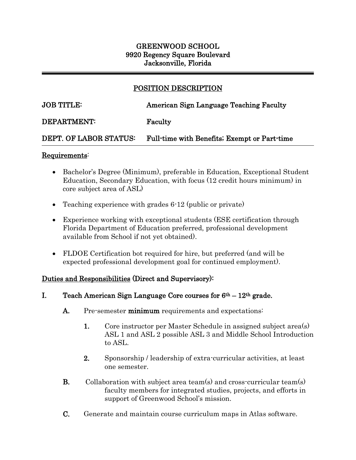# GREENWOOD SCHOOL 9920 Regency Square Boulevard Jacksonville, Florida

# POSITION DESCRIPTION

 $\overline{a}$ 

## JOB TITLE: American Sign Language Teaching Faculty

#### DEPARTMENT: Faculty

### DEPT. OF LABOR STATUS: Full-time with Benefits; Exempt or Part-time

#### Requirements:

j

- Bachelor's Degree (Minimum), preferable in Education, Exceptional Student Education, Secondary Education, with focus (12 credit hours minimum) in core subject area of ASL)
- Teaching experience with grades 6-12 (public or private)
- Experience working with exceptional students (ESE certification through Florida Department of Education preferred, professional development available from School if not yet obtained).
- FLDOE Certification bot required for hire, but preferred (and will be expected professional development goal for continued employment).

### Duties and Responsibilities (Direct and Supervisory):

- I. Teach American Sign Language Core courses for  $6<sup>th</sup> 12<sup>th</sup>$  grade.
	- A. Pre-semester minimum requirements and expectations:
		- 1. Core instructor per Master Schedule in assigned subject area(s) ASL 1 and ASL 2 possible ASL 3 and Middle School Introduction to ASL.
		- 2. Sponsorship / leadership of extra-curricular activities, at least one semester.
	- B. Collaboration with subject area team(s) and cross-curricular team(s) faculty members for integrated studies, projects, and efforts in support of Greenwood School's mission.
	- C. Generate and maintain course curriculum maps in Atlas software.